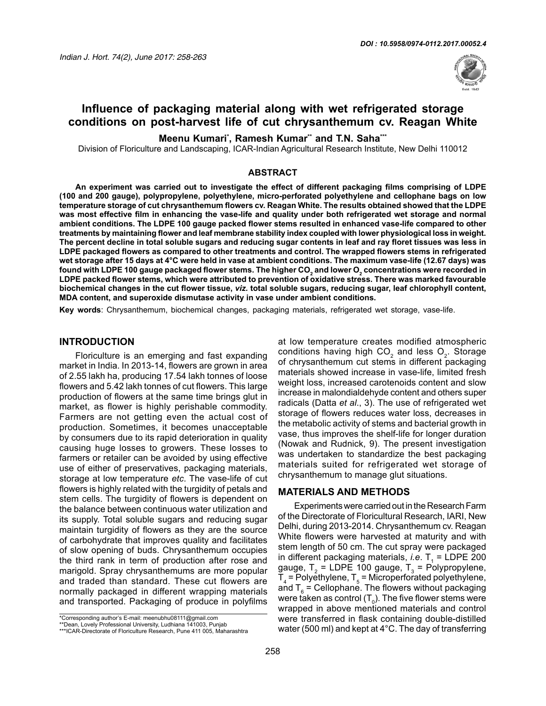

# **Influence of packaging material along with wet refrigerated storage conditions on post-harvest life of cut chrysanthemum cv. Reagan White**

**Meenu Kumari\* , Ramesh Kumar\*\* and T.N. Saha\*\*\***

Division of Floriculture and Landscaping, ICAR-Indian Agricultural Research Institute, New Delhi 110012

#### **ABSTRACT**

**An experiment was carried out to investigate the effect of different packaging films comprising of LDPE (100 and 200 gauge), polypropylene, polyethylene, micro-perforated polyethylene and cellophane bags on low temperature storage of cut chrysanthemum flowers cv. Reagan White. The results obtained showed that the LDPE was most effective film in enhancing the vase-life and quality under both refrigerated wet storage and normal ambient conditions. The LDPE 100 gauge packed flower stems resulted in enhanced vase-life compared to other treatments by maintaining flower and leaf membrane stability index coupled with lower physiological loss in weight. The percent decline in total soluble sugars and reducing sugar contents in leaf and ray floret tissues was less in LDPE packaged flowers as compared to other treatments and control. The wrapped flowers stems in refrigerated wet storage after 15 days at 4°C were held in vase at ambient conditions. The maximum vase-life (12.67 days) was**  found with LDPE 100 gauge packaged flower stems. The higher CO<sub>2</sub> and lower O<sub>2</sub> concentrations were recorded in **a LDPE packed flower stems, which were attributed to prevention of oxidative stress. There was marked favourable biochemical changes in the cut flower tissue,** *viz.* **total soluble sugars, reducing sugar, leaf chlorophyll content, MDA content, and superoxide dismutase activity in vase under ambient conditions.** 

**Key words**: Chrysanthemum, biochemical changes, packaging materials, refrigerated wet storage, vase-life.

#### **INTRODUCTION**

Floriculture is an emerging and fast expanding market in India. In 2013-14, flowers are grown in area of 2.55 lakh ha, producing 17.54 lakh tonnes of loose flowers and 5.42 lakh tonnes of cut flowers. This large production of flowers at the same time brings glut in market, as flower is highly perishable commodity. Farmers are not getting even the actual cost of production. Sometimes, it becomes unacceptable by consumers due to its rapid deterioration in quality causing huge losses to growers. These losses to farmers or retailer can be avoided by using effective use of either of preservatives, packaging materials, storage at low temperature *etc*. The vase-life of cut flowers is highly related with the turgidity of petals and stem cells. The turgidity of flowers is dependent on the balance between continuous water utilization and its supply. Total soluble sugars and reducing sugar maintain turgidity of flowers as they are the source of carbohydrate that improves quality and facilitates of slow opening of buds. Chrysanthemum occupies the third rank in term of production after rose and marigold. Spray chrysanthemums are more popular and traded than standard. These cut flowers are normally packaged in different wrapping materials and transported. Packaging of produce in polyfilms

\*Corresponding author's E-mail: meenubhu08111@gmail.com \*\*Dean, Lovely Professional University, Ludhiana 141003, Punjab

at low temperature creates modified atmospheric conditions having high  $CO<sub>2</sub>$  and less  $O<sub>2</sub>$ . Storage of chrysanthemum cut stems in different packaging materials showed increase in vase-life, limited fresh weight loss, increased carotenoids content and slow increase in malondialdehyde content and others super radicals (Datta *et al*., 3). The use of refrigerated wet storage of flowers reduces water loss, decreases in the metabolic activity of stems and bacterial growth in vase, thus improves the shelf-life for longer duration (Nowak and Rudnick, 9). The present investigation was undertaken to standardize the best packaging materials suited for refrigerated wet storage of chrysanthemum to manage glut situations.

#### **MATERIALS AND METHODS**

Experiments were carried out in the Research Farm of the Directorate of Floricultural Research, IARI, New Delhi, during 2013-2014. Chrysanthemum cv. Reagan White flowers were harvested at maturity and with stem length of 50 cm. The cut spray were packaged in different packaging materials, *i.e*. T<sub>1</sub> = LDPE 200 gauge,  $T_2$  = LDPE 100 gauge,  $T_3$  = Polypropylene,  $T_4$  = Polyethylene,  $T_5$  = Microperforated polyethylene, and T<sub> $_6$ </sub> = Cellophane. The flowers without packaging were taken as control (T<sub>0</sub>). The five flower stems were wrapped in above mentioned materials and control were transferred in flask containing double-distilled water (500 ml) and kept at 4°C. The day of transferring

<sup>\*\*\*</sup>ICAR-Directorate of Floriculture Research, Pune 411 005, Maharashtra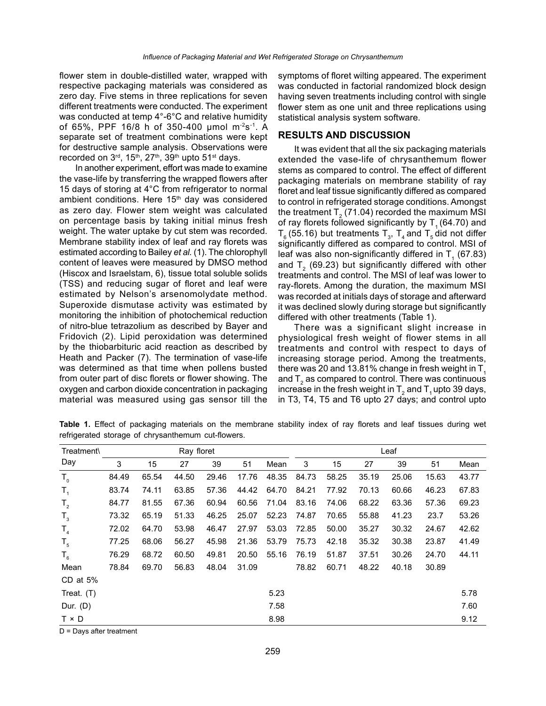flower stem in double-distilled water, wrapped with respective packaging materials was considered as zero day. Five stems in three replications for seven different treatments were conducted. The experiment was conducted at temp 4°-6°C and relative humidity of 65%, PPF 16/8 h of 350-400  $\mu$ mol m<sup>-2</sup>s<sup>-1</sup>. A separate set of treatment combinations were kept for destructive sample analysis. Observations were recorded on  $3<sup>rd</sup>$ , 15<sup>th</sup>, 27<sup>th</sup>, 39<sup>th</sup> upto 51<sup>st</sup> days.

In another experiment, effort was made to examine the vase-life by transferring the wrapped flowers after 15 days of storing at 4°C from refrigerator to normal ambient conditions. Here 15<sup>th</sup> day was considered as zero day. Flower stem weight was calculated on percentage basis by taking initial minus fresh weight. The water uptake by cut stem was recorded. Membrane stability index of leaf and ray florets was estimated according to Bailey *et al.* (1). The chlorophyll content of leaves were measured by DMSO method (Hiscox and Israelstam, 6), tissue total soluble solids (TSS) and reducing sugar of floret and leaf were estimated by Nelson's arsenomolydate method. Superoxide dismutase activity was estimated by monitoring the inhibition of photochemical reduction of nitro-blue tetrazolium as described by Bayer and Fridovich (2). Lipid peroxidation was determined by the thiobarbituric acid reaction as described by Heath and Packer (7). The termination of vase-life was determined as that time when pollens busted from outer part of disc florets or flower showing. The oxygen and carbon dioxide concentration in packaging material was measured using gas sensor till the

symptoms of floret wilting appeared. The experiment was conducted in factorial randomized block design having seven treatments including control with single flower stem as one unit and three replications using statistical analysis system software.

### **RESULTS AND DISCUSSION**

It was evident that all the six packaging materials extended the vase-life of chrysanthemum flower stems as compared to control. The effect of different packaging materials on membrane stability of ray floret and leaf tissue significantly differed as compared to control in refrigerated storage conditions. Amongst the treatment T $_{_{2}}$  (71.04) recorded the maximum MSI of ray florets followed significantly by  $T<sub>1</sub>$  (64.70) and  $T_{6}$  (55.16) but treatments  $T_{3}$ ,  $T_{4}$  and  $T_{5}$  did not differ significantly differed as compared to control. MSI of leaf was also non-significantly differed in  $T_{1}$  (67.83) and T<sub>2</sub> (69.23) but significantly differed with other treatments and control. The MSI of leaf was lower to ray-florets. Among the duration, the maximum MSI was recorded at initials days of storage and afterward it was declined slowly during storage but significantly differed with other treatments (Table 1).

There was a significant slight increase in physiological fresh weight of flower stems in all treatments and control with respect to days of increasing storage period. Among the treatments, there was 20 and 13.81% change in fresh weight in  $T<sub>1</sub>$ and  $T<sub>2</sub>$  as compared to control. There was continuous increase in the fresh weight in  $T_2$  and  $T_1$  upto 39 days, in T3, T4, T5 and T6 upto 27 days; and control upto

**Table 1.** Effect of packaging materials on the membrane stability index of ray florets and leaf tissues during wet refrigerated storage of chrysanthemum cut-flowers.

| Treatment\     |       |       | Ray floret |       |       |       |       |       |       | Leaf  |       |       |
|----------------|-------|-------|------------|-------|-------|-------|-------|-------|-------|-------|-------|-------|
| Day            | 3     | 15    | 27         | 39    | 51    | Mean  | 3     | 15    | 27    | 39    | 51    | Mean  |
| $T_{0}$        | 84.49 | 65.54 | 44.50      | 29.46 | 17.76 | 48.35 | 84.73 | 58.25 | 35.19 | 25.06 | 15.63 | 43.77 |
| $T_{1}$        | 83.74 | 74.11 | 63.85      | 57.36 | 44.42 | 64.70 | 84.21 | 77.92 | 70.13 | 60.66 | 46.23 | 67.83 |
| $T_{2}$        | 84.77 | 81.55 | 67.36      | 60.94 | 60.56 | 71.04 | 83.16 | 74.06 | 68.22 | 63.36 | 57.36 | 69.23 |
| $T_{3}$        | 73.32 | 65.19 | 51.33      | 46.25 | 25.07 | 52.23 | 74.87 | 70.65 | 55.88 | 41.23 | 23.7  | 53.26 |
| T <sub>4</sub> | 72.02 | 64.70 | 53.98      | 46.47 | 27.97 | 53.03 | 72.85 | 50.00 | 35.27 | 30.32 | 24.67 | 42.62 |
| $T_{5}$        | 77.25 | 68.06 | 56.27      | 45.98 | 21.36 | 53.79 | 75.73 | 42.18 | 35.32 | 30.38 | 23.87 | 41.49 |
| $T_{6}$        | 76.29 | 68.72 | 60.50      | 49.81 | 20.50 | 55.16 | 76.19 | 51.87 | 37.51 | 30.26 | 24.70 | 44.11 |
| Mean           | 78.84 | 69.70 | 56.83      | 48.04 | 31.09 |       | 78.82 | 60.71 | 48.22 | 40.18 | 30.89 |       |
| $CD$ at 5%     |       |       |            |       |       |       |       |       |       |       |       |       |
| Treat. $(T)$   |       |       |            |       |       | 5.23  |       |       |       |       |       | 5.78  |
| Dur. $(D)$     |       |       |            |       |       | 7.58  |       |       |       |       |       | 7.60  |
| $T \times D$   |       |       |            |       |       | 8.98  |       |       |       |       |       | 9.12  |

D = Days after treatment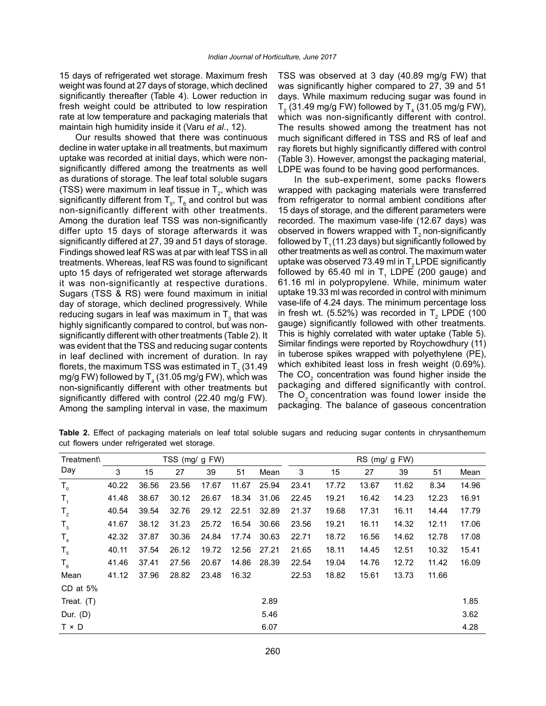15 days of refrigerated wet storage. Maximum fresh weight was found at 27 days of storage, which declined significantly thereafter (Table 4). Lower reduction in fresh weight could be attributed to low respiration rate at low temperature and packaging materials that maintain high humidity inside it (Varu *et al*., 12).

Our results showed that there was continuous decline in water uptake in all treatments, but maximum uptake was recorded at initial days, which were nonsignificantly differed among the treatments as well as durations of storage. The leaf total soluble sugars (TSS) were maximum in leaf tissue in  $T_{2}$ , which was significantly different from  $T_{5}$ ,  $T_{6}$  and control but was non-significantly different with other treatments. Among the duration leaf TSS was non-significantly differ upto 15 days of storage afterwards it was significantly differed at 27, 39 and 51 days of storage. Findings showed leaf RS was at par with leaf TSS in all treatments. Whereas, leaf RS was found to significant upto 15 days of refrigerated wet storage afterwards it was non-significantly at respective durations. Sugars (TSS & RS) were found maximum in initial day of storage, which declined progressively. While reducing sugars in leaf was maximum in  $\mathsf{T}_3^{}$  that was highly significantly compared to control, but was nonsignificantly different with other treatments (Table 2). It was evident that the TSS and reducing sugar contents in leaf declined with increment of duration. In ray florets, the maximum TSS was estimated in T<sub>2</sub> (31.49 mg/g FW) followed by  ${\mathsf T}_4$  (31.05 mg/g FW), which was non-significantly different with other treatments but significantly differed with control (22.40 mg/g FW). Among the sampling interval in vase, the maximum

TSS was observed at 3 day (40.89 mg/g FW) that was significantly higher compared to 27, 39 and 51 days. While maximum reducing sugar was found in  $T_{\rm 2}$  (31.49 mg/g FW) followed by  $T_{\rm 4}$  (31.05 mg/g FW), which was non-significantly different with control. The results showed among the treatment has not much significant differed in TSS and RS of leaf and ray florets but highly significantly differed with control (Table 3). However, amongst the packaging material, LDPE was found to be having good performances.

In the sub-experiment, some packs flowers wrapped with packaging materials were transferred from refrigerator to normal ambient conditions after 15 days of storage, and the different parameters were recorded. The maximum vase-life (12.67 days) was observed in flowers wrapped with  $T<sub>2</sub>$  non-significantly followed by  $T<sub>1</sub>$  (11.23 days) but significantly followed by other treatments as well as control. The maximum water uptake was observed 73.49 ml in  $T<sub>2</sub>$  LPDE significantly followed by 65.40 ml in  $T_1$  LDPE (200 gauge) and 61.16 ml in polypropylene. While, minimum water uptake 19.33 ml was recorded in control with minimum vase-life of 4.24 days. The minimum percentage loss in fresh wt. (5.52%) was recorded in  $T_2$  LPDE (100 gauge) significantly followed with other treatments. This is highly correlated with water uptake (Table 5). Similar findings were reported by Roychowdhury (11) in tuberose spikes wrapped with polyethylene (PE), which exhibited least loss in fresh weight (0.69%). The  $CO<sub>2</sub>$  concentration was found higher inside the packaging and differed significantly with control. The  $O<sub>2</sub>$  concentration was found lower inside the packaging. The balance of gaseous concentration

**Table 2.** Effect of packaging materials on leaf total soluble sugars and reducing sugar contents in chrysanthemum cut flowers under refrigerated wet storage.

| Treatment\   |       |       | TSS (mg/ g FW) |       |       |       | RS (mg/ g FW) |       |       |       |       |       |  |
|--------------|-------|-------|----------------|-------|-------|-------|---------------|-------|-------|-------|-------|-------|--|
| Day          | 3     | 15    | 27             | 39    | 51    | Mean  | 3             | 15    | 27    | 39    | 51    | Mean  |  |
| $T_{0}$      | 40.22 | 36.56 | 23.56          | 17.67 | 11.67 | 25.94 | 23.41         | 17.72 | 13.67 | 11.62 | 8.34  | 14.96 |  |
| $T_{1}$      | 41.48 | 38.67 | 30.12          | 26.67 | 18.34 | 31.06 | 22.45         | 19.21 | 16.42 | 14.23 | 12.23 | 16.91 |  |
| $T_{2}$      | 40.54 | 39.54 | 32.76          | 29.12 | 22.51 | 32.89 | 21.37         | 19.68 | 17.31 | 16.11 | 14.44 | 17.79 |  |
| $T_{3}$      | 41.67 | 38.12 | 31.23          | 25.72 | 16.54 | 30.66 | 23.56         | 19.21 | 16.11 | 14.32 | 12.11 | 17.06 |  |
| $T_{4}$      | 42.32 | 37.87 | 30.36          | 24.84 | 17.74 | 30.63 | 22.71         | 18.72 | 16.56 | 14.62 | 12.78 | 17.08 |  |
| $T_{5}$      | 40.11 | 37.54 | 26.12          | 19.72 | 12.56 | 27.21 | 21.65         | 18.11 | 14.45 | 12.51 | 10.32 | 15.41 |  |
| $T_{6}$      | 41.46 | 37.41 | 27.56          | 20.67 | 14.86 | 28.39 | 22.54         | 19.04 | 14.76 | 12.72 | 11.42 | 16.09 |  |
| Mean         | 41.12 | 37.96 | 28.82          | 23.48 | 16.32 |       | 22.53         | 18.82 | 15.61 | 13.73 | 11.66 |       |  |
| CD at $5%$   |       |       |                |       |       |       |               |       |       |       |       |       |  |
| Treat. $(T)$ |       |       |                |       |       | 2.89  |               |       |       |       |       | 1.85  |  |
| Dur. (D)     |       |       |                |       |       | 5.46  |               |       |       |       |       | 3.62  |  |
| $T \times D$ |       |       |                |       |       | 6.07  |               |       |       |       |       | 4.28  |  |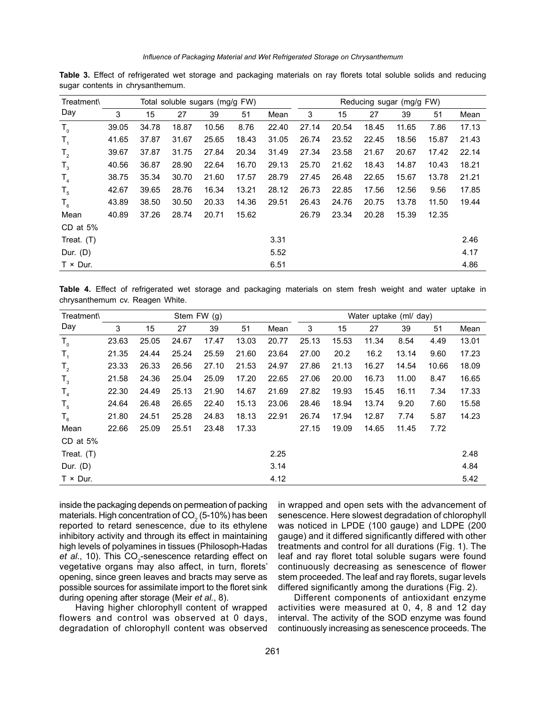| Treatment\       |       | Total soluble sugars (mg/g FW) |       |       |       |       |       | Reducing sugar (mg/g FW) |       |       |       |       |  |
|------------------|-------|--------------------------------|-------|-------|-------|-------|-------|--------------------------|-------|-------|-------|-------|--|
| Day              | 3     | 15                             | 27    | 39    | 51    | Mean  | 3     | 15                       | 27    | 39    | 51    | Mean  |  |
| $T_{0}$          | 39.05 | 34.78                          | 18.87 | 10.56 | 8.76  | 22.40 | 27.14 | 20.54                    | 18.45 | 11.65 | 7.86  | 17.13 |  |
| $T_{1}$          | 41.65 | 37.87                          | 31.67 | 25.65 | 18.43 | 31.05 | 26.74 | 23.52                    | 22.45 | 18.56 | 15.87 | 21.43 |  |
| $T_{2}$          | 39.67 | 37.87                          | 31.75 | 27.84 | 20.34 | 31.49 | 27.34 | 23.58                    | 21.67 | 20.67 | 17.42 | 22.14 |  |
| $T_{3}$          | 40.56 | 36.87                          | 28.90 | 22.64 | 16.70 | 29.13 | 25.70 | 21.62                    | 18.43 | 14.87 | 10.43 | 18.21 |  |
| $T_{4}$          | 38.75 | 35.34                          | 30.70 | 21.60 | 17.57 | 28.79 | 27.45 | 26.48                    | 22.65 | 15.67 | 13.78 | 21.21 |  |
| $T_{5}$          | 42.67 | 39.65                          | 28.76 | 16.34 | 13.21 | 28.12 | 26.73 | 22.85                    | 17.56 | 12.56 | 9.56  | 17.85 |  |
| $T_{6}$          | 43.89 | 38.50                          | 30.50 | 20.33 | 14.36 | 29.51 | 26.43 | 24.76                    | 20.75 | 13.78 | 11.50 | 19.44 |  |
| Mean             | 40.89 | 37.26                          | 28.74 | 20.71 | 15.62 |       | 26.79 | 23.34                    | 20.28 | 15.39 | 12.35 |       |  |
| CD at 5%         |       |                                |       |       |       |       |       |                          |       |       |       |       |  |
| Treat. $(T)$     |       |                                |       |       |       | 3.31  |       |                          |       |       |       | 2.46  |  |
| Dur. $(D)$       |       |                                |       |       |       | 5.52  |       |                          |       |       |       | 4.17  |  |
| $T \times Dur$ . |       |                                |       |       |       | 6.51  |       |                          |       |       |       | 4.86  |  |

**Table 3.** Effect of refrigerated wet storage and packaging materials on ray florets total soluble solids and reducing sugar contents in chrysanthemum.

**Table 4.** Effect of refrigerated wet storage and packaging materials on stem fresh weight and water uptake in chrysanthemum cv. Reagen White.

| Treatment\       |       |       |       | Stem FW (g) | Water uptake (ml/ day) |       |       |       |       |       |       |       |
|------------------|-------|-------|-------|-------------|------------------------|-------|-------|-------|-------|-------|-------|-------|
| Day              | 3     | 15    | 27    | 39          | 51                     | Mean  | 3     | 15    | 27    | 39    | 51    | Mean  |
| $T_{0}$          | 23.63 | 25.05 | 24.67 | 17.47       | 13.03                  | 20.77 | 25.13 | 15.53 | 11.34 | 8.54  | 4.49  | 13.01 |
| $T_{1}$          | 21.35 | 24.44 | 25.24 | 25.59       | 21.60                  | 23.64 | 27.00 | 20.2  | 16.2  | 13.14 | 9.60  | 17.23 |
| $T_{2}$          | 23.33 | 26.33 | 26.56 | 27.10       | 21.53                  | 24.97 | 27.86 | 21.13 | 16.27 | 14.54 | 10.66 | 18.09 |
| $T_{3}$          | 21.58 | 24.36 | 25.04 | 25.09       | 17.20                  | 22.65 | 27.06 | 20.00 | 16.73 | 11.00 | 8.47  | 16.65 |
| T <sub>4</sub>   | 22.30 | 24.49 | 25.13 | 21.90       | 14.67                  | 21.69 | 27.82 | 19.93 | 15.45 | 16.11 | 7.34  | 17.33 |
| $T_{5}$          | 24.64 | 26.48 | 26.65 | 22.40       | 15.13                  | 23.06 | 28.46 | 18.94 | 13.74 | 9.20  | 7.60  | 15.58 |
| $T_{6}$          | 21.80 | 24.51 | 25.28 | 24.83       | 18.13                  | 22.91 | 26.74 | 17.94 | 12.87 | 7.74  | 5.87  | 14.23 |
| Mean             | 22.66 | 25.09 | 25.51 | 23.48       | 17.33                  |       | 27.15 | 19.09 | 14.65 | 11.45 | 7.72  |       |
| CD at 5%         |       |       |       |             |                        |       |       |       |       |       |       |       |
| Treat. $(T)$     |       |       |       |             |                        | 2.25  |       |       |       |       |       | 2.48  |
| Dur. (D)         |       |       |       |             |                        | 3.14  |       |       |       |       |       | 4.84  |
| $T \times Dur$ . |       |       |       |             |                        | 4.12  |       |       |       |       |       | 5.42  |

inside the packaging depends on permeation of packing materials. High concentration of CO $_2$  (5-10%) has been reported to retard senescence, due to its ethylene inhibitory activity and through its effect in maintaining high levels of polyamines in tissues (Philosoph-Hadas et al., 10). This CO<sub>2</sub>-senescence retarding effect on vegetative organs may also affect, in turn, florets' opening, since green leaves and bracts may serve as possible sources for assimilate import to the floret sink during opening after storage (Meir *et al.*, 8).

Having higher chlorophyll content of wrapped flowers and control was observed at 0 days, degradation of chlorophyll content was observed in wrapped and open sets with the advancement of senescence. Here slowest degradation of chlorophyll was noticed in LPDE (100 gauge) and LDPE (200 gauge) and it differed significantly differed with other treatments and control for all durations (Fig. 1). The leaf and ray floret total soluble sugars were found continuously decreasing as senescence of flower stem proceeded. The leaf and ray florets, sugar levels differed significantly among the durations (Fig. 2).

Different components of antioxidant enzyme activities were measured at 0, 4, 8 and 12 day interval. The activity of the SOD enzyme was found continuously increasing as senescence proceeds. The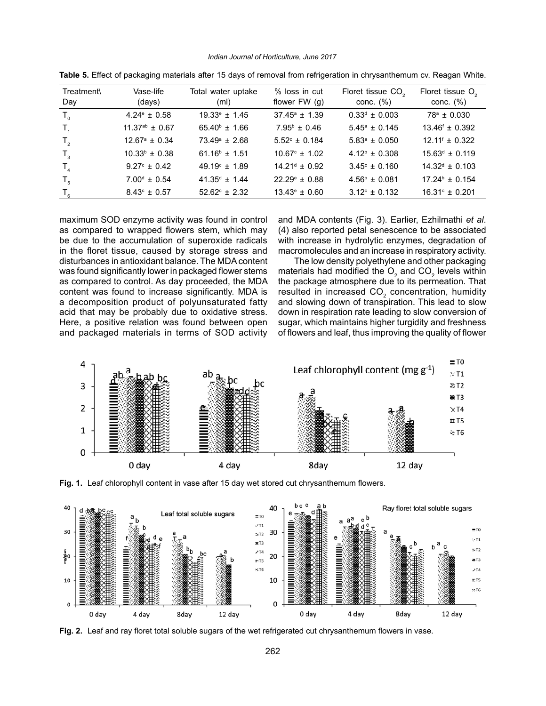*Indian Journal of Horticulture, June 2017*

| Treatment\<br>Day | Vase-life<br>(days)        | Total water uptake<br>(ml) | % loss in cut<br>flower $FW(g)$ | Floret tissue CO <sub>2</sub><br>conc. $(\%)$ | Floret tissue O <sub>2</sub><br>conc. $(\%)$ |
|-------------------|----------------------------|----------------------------|---------------------------------|-----------------------------------------------|----------------------------------------------|
| $T_{0}$           | $4.24^{\circ} \pm 0.58$    | $19.33^{\circ} \pm 1.45$   | $37.45^{\circ}$ ± 1.39          | $0.33^d \pm 0.003$                            | $78^a \pm 0.030$                             |
| $T_{4}$           | $11.37^{ab} \pm 0.67$      | $65.40^{\circ}$ ± 1.66     | $7.95^{\circ} \pm 0.46$         | $5.45^{\circ} \pm 0.145$                      | $13.46^{\circ} \pm 0.392$                    |
| $T_{2}$           | $12.67^{\circ} \pm 0.34$   | $73.49^{\circ} \pm 2.68$   | $5.52^{\circ} \pm 0.184$        | $5.83^{\circ} \pm 0.050$                      | $12.11^{\circ} \pm 0.322$                    |
| $T_{3}$           | $10.33^{\circ} \pm 0.38$   | $61.16^b \pm 1.51$         | $10.67^{\circ} \pm 1.02$        | $4.12^b \pm 0.308$                            | $15.63^d \pm 0.119$                          |
| $T_{\rm A}$       | $9.27^{\circ} \pm 0.42$    | $49.19^{\circ} \pm 1.89$   | $14.21^{\circ} \pm 0.92$        | $3.45^{\circ} \pm 0.160$                      | $14.32^d \pm 0.103$                          |
| $T_{5}$           | $7.00^{\text{d}} \pm 0.54$ | $41.35^{\circ}$ ± 1.44     | $22.29^{\circ} \pm 0.88$        | $4.56^{\circ} \pm 0.081$                      | $17.24^{\circ} \pm 0.154$                    |
| $T_{6}$           | $8.43^{\circ} \pm 0.57$    | $52.62^{\circ} \pm 2.32$   | $13.43^{\circ} \pm 0.60$        | $3.12^{\circ} \pm 0.132$                      | $16.31^{\circ} \pm 0.201$                    |

**Table 5.** Effect of packaging materials after 15 days of removal from refrigeration in chrysanthemum cv. Reagan White.

maximum SOD enzyme activity was found in control as compared to wrapped flowers stem, which may be due to the accumulation of superoxide radicals in the floret tissue, caused by storage stress and disturbances in antioxidant balance. The MDA content was found significantly lower in packaged flower stems as compared to control. As day proceeded, the MDA content was found to increase significantly. MDA is a decomposition product of polyunsaturated fatty acid that may be probably due to oxidative stress. Here, a positive relation was found between open and packaged materials in terms of SOD activity

and MDA contents (Fig. 3). Earlier, Ezhilmathi *et al*. (4) also reported petal senescence to be associated with increase in hydrolytic enzymes, degradation of macromolecules and an increase in respiratory activity.

The low density polyethylene and other packaging materials had modified the  $O_2$  and  $CO_2$  levels within the package atmosphere due to its permeation. That resulted in increased CO<sub>2</sub> concentration, humidity and slowing down of transpiration. This lead to slow down in respiration rate leading to slow conversion of sugar, which maintains higher turgidity and freshness of flowers and leaf, thus improving the quality of flower



**Fig. 1.** Leaf chlorophyll content in vase after 15 day wet stored cut chrysanthemum flowers.



**Fig. 2.** Leaf and ray floret total soluble sugars of the wet refrigerated cut chrysanthemum flowers in vase.